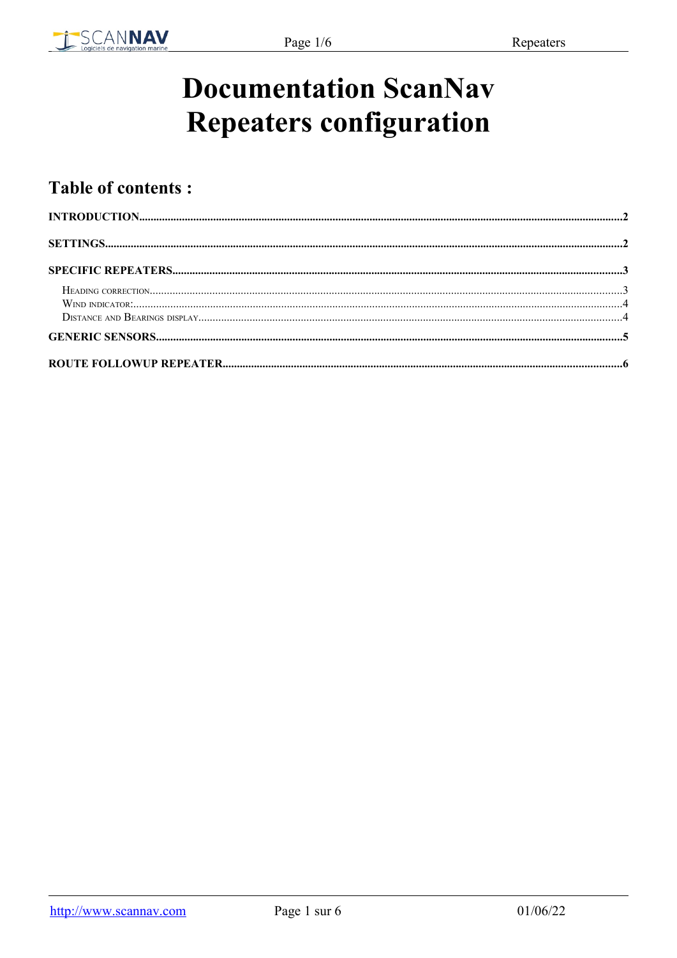

# **Documentation ScanNav Repeaters configuration**

## **Table of contents:**

| $\bf INTRODUCTION. 2223$ |  |
|--------------------------|--|
|                          |  |
|                          |  |
|                          |  |
|                          |  |
|                          |  |
|                          |  |
|                          |  |
|                          |  |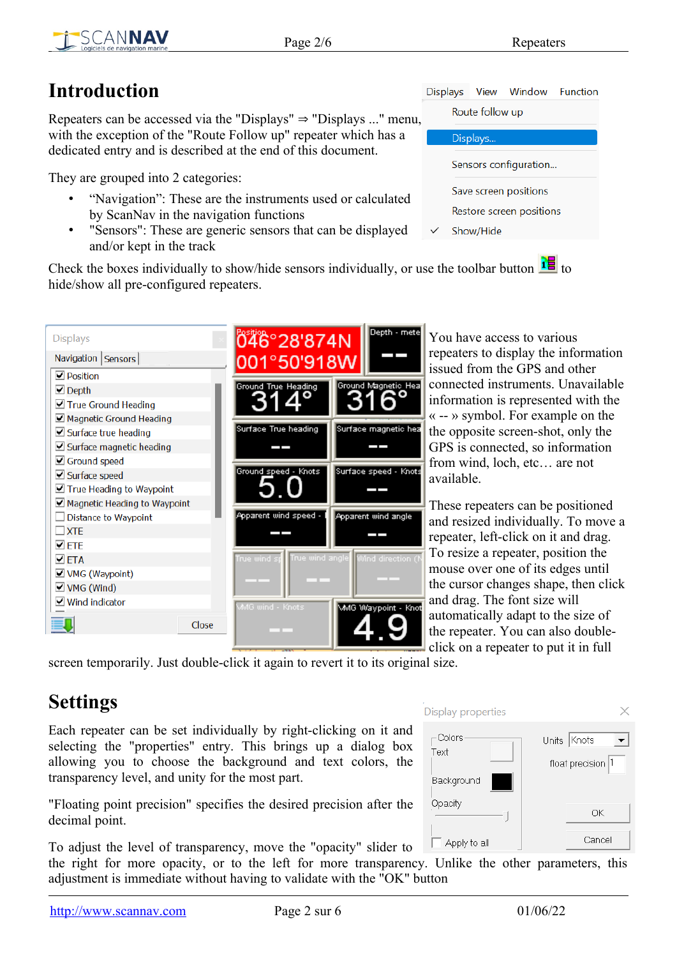**Function** 

Window

## <span id="page-1-1"></span>**Introduction**

Repeaters can be accessed via the "Displays"  $\Rightarrow$  "Displays ..." menu, with the exception of the "Route Follow up" repeater which has a dedicated entry and is described at the end of this document.

They are grouped into 2 categories:

- "Navigation": These are the instruments used or calculated by ScanNav in the navigation functions
- "Sensors": These are generic sensors that can be displayed and/or kept in the track

Check the boxes individually to show/hide sensors individually, or use the toolbar button  $\frac{1}{10}$  to hide/show all pre-configured repeaters.

| <b>Displays</b>                                   | 046°28'874N                | Depth - mete                   |
|---------------------------------------------------|----------------------------|--------------------------------|
| Navigation   Sensors                              | 001°50'918W                |                                |
| $\Box$ Position                                   |                            |                                |
| $\blacksquare$ Depth                              | <b>Ground True Heading</b> | Ground Magnetic Hea            |
| $\Box$ True Ground Heading                        |                            |                                |
| Magnetic Ground Heading                           |                            |                                |
| $\Box$ Surface true heading                       | Surface True heading       | Surface magnetic hea           |
| Surface magnetic heading<br>$\blacktriangleright$ |                            |                                |
| Ground speed<br>է                                 |                            |                                |
| $\Box$ Surface speed                              | Ground speed - Knots       | Surface speed - Knots          |
| $\Box$ True Heading to Waypoint                   |                            |                                |
| $\Box$ Magnetic Heading to Waypoint               |                            |                                |
| <b>Distance to Waypoint</b>                       | Apparent wind speed -      | Apparent wind angle            |
| <b>XTF</b>                                        |                            |                                |
| $\Box$ ete                                        |                            |                                |
| $\Box$ ETA                                        | True wind                  | True wind angle Wind direction |
| $\Box$ VMG (Waypoint)                             |                            |                                |
| $\Box$ VMG (Wind)                                 |                            |                                |
| $\Box$ Wind indicator                             | MMG wind - Knots           |                                |
|                                                   |                            | MMG Waypoint - Knot            |
| Close                                             |                            |                                |
|                                                   |                            |                                |

You have access to various epeaters to display the information ssued from the GPS and other connected instruments. Unavailable information is represented with the -- » symbol. For example on the he opposite screen-shot, only the GPS is connected, so information from wind, loch, etc… are not vailable.

These repeaters can be positioned and resized individually. To move a epeater, left-click on it and drag. To resize a repeater, position the mouse over one of its edges until he cursor changes shape, then click and drag. The font size will automatically adapt to the size of he repeater. You can also doubleclick on a repeater to put it in full

Display properties

-Colors

Background

Apply to all

Opacity

Text

screen temporarily. Just double-click it again to revert it to its original size.

# <span id="page-1-0"></span>**Settings**

Each repeater can be set individually by right-clicking on it and selecting the "properties" entry. This brings up a dialog box allowing you to choose the background and text colors, the transparency level, and unity for the most part.

"Floating point precision" specifies the desired precision after the decimal point.

To adjust the level of transparency, move the "opacity" slider to

the right for more opacity, or to the left for more transparency. Unlike the other parameters, this adjustment is immediate without having to validate with the "OK" button



Displays View

Route follow up

Units Knots

float precision

OK

Cancel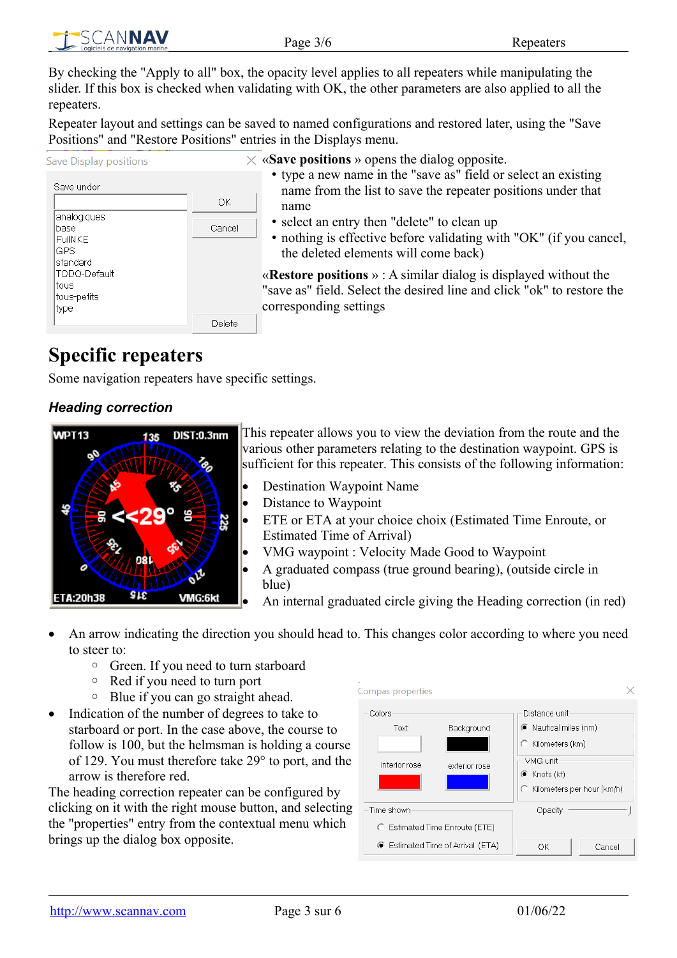By checking the "Apply to all" box, the opacity level applies to all repeaters while manipulating the slider. If this box is checked when validating with OK, the other parameters are also applied to all the repeaters.

Repeater layout and settings can be saved to named configurations and restored later, using the "Save Positions" and "Restore Positions" entries in the Displays menu.

| Save Display positions                                                                           |        |  |  |  |
|--------------------------------------------------------------------------------------------------|--------|--|--|--|
| Save under                                                                                       |        |  |  |  |
|                                                                                                  | OK     |  |  |  |
| analogiques<br>base<br>FullNKF<br>GPS<br>standard<br>TODO-Default<br>tous<br>tous-petits<br>type | Cancel |  |  |  |
|                                                                                                  | Delete |  |  |  |

 $\times$  «**Save positions** » opens the dialog opposite.

- type a new name in the "save as" field or select an existing name from the list to save the repeater positions under that name
- select an entry then "delete" to clean up
- nothing is effective before validating with "OK" (if you cancel, the deleted elements will come back)

«**Restore positions** » : A similar dialog is displayed without the "save as" field. Select the desired line and click "ok" to restore the corresponding settings

## <span id="page-2-1"></span>**Specific repeaters**

Some navigation repeaters have specific settings.

#### <span id="page-2-0"></span>*Heading correction*



This repeater allows you to view the deviation from the route and the various other parameters relating to the destination waypoint. GPS is sufficient for this repeater. This consists of the following information:

- Destination Waypoint Name
- Distance to Waypoint
- ETE or ETA at your choice choix (Estimated Time Enroute, or Estimated Time of Arrival)
- VMG waypoint : Velocity Made Good to Waypoint
- A graduated compass (true ground bearing), (outside circle in blue)
- An internal graduated circle giving the Heading correction (in red)
- An arrow indicating the direction you should head to. This changes color according to where you need to steer to:
	- Green. If you need to turn starboard
	- Red if you need to turn port
	- Blue if you can go straight ahead.
- Indication of the number of degrees to take to starboard or port. In the case above, the course to follow is 100, but the helmsman is holding a course of 129. You must therefore take 29° to port, and the arrow is therefore red.

The heading correction repeater can be configured by clicking on it with the right mouse button, and selecting the "properties" entry from the contextual menu which brings up the dialog box opposite.

| Compas properties                                                   |                             |                                                                                                                                    |        |
|---------------------------------------------------------------------|-----------------------------|------------------------------------------------------------------------------------------------------------------------------------|--------|
| Colors<br>Text<br>interior rose                                     | Background<br>exterior rose | Distance unit<br>C Nautical miles (nm)<br>C Kilometers (km)<br>- VMG unit-<br>$\bullet$ Knots (kt)<br>C Kilometers per hour (km/h) |        |
| Time shown                                                          |                             | Opacity                                                                                                                            |        |
| C Estimated Time Enroute (ETE)<br>● Estimated Time of Arrival (ETA) |                             | OK                                                                                                                                 | Cancel |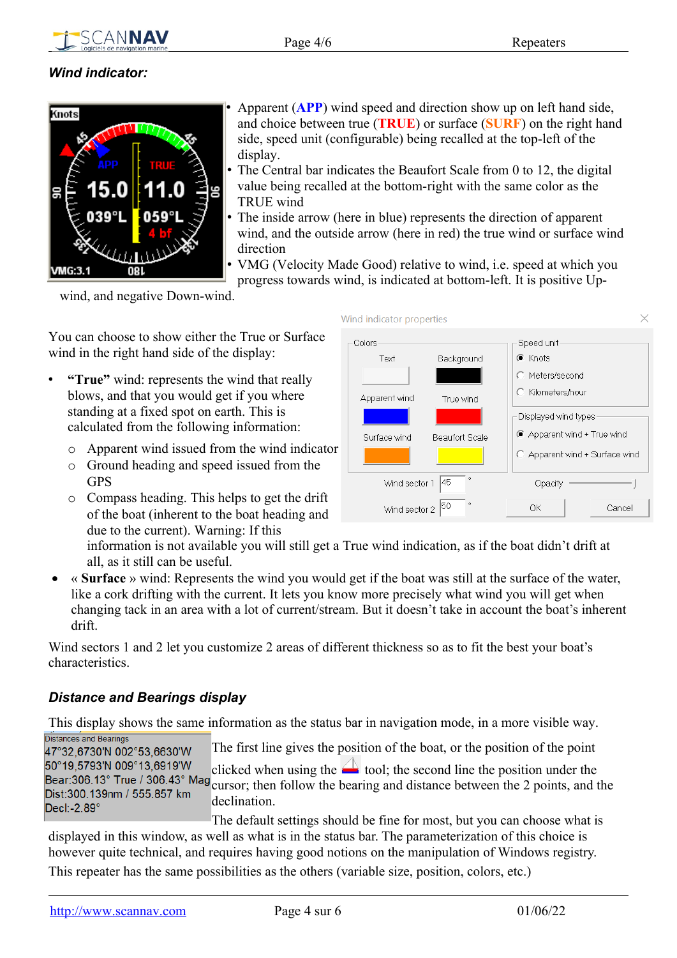

#### <span id="page-3-1"></span>*Wind indicator:*



• Apparent (**APP**) wind speed and direction show up on left hand side, and choice between true (**TRUE**) or surface (**SURF**) on the right hand side, speed unit (configurable) being recalled at the top-left of the display.

- The Central bar indicates the Beaufort Scale from 0 to 12, the digital value being recalled at the bottom-right with the same color as the TRUE wind
- The inside arrow (here in blue) represents the direction of apparent wind, and the outside arrow (here in red) the true wind or surface wind direction
- VMG (Velocity Made Good) relative to wind, i.e. speed at which you

progress towards wind, is indicated at bottom-left. It is positive Up-

wind, and negative Down-wind.

You can choose to show either the True or Surface wind in the right hand side of the display:

- **"True"** wind: represents the wind that really blows, and that you would get if you where standing at a fixed spot on earth. This is calculated from the following information:
	- o Apparent wind issued from the wind indicator
	- o Ground heading and speed issued from the **GPS**
	- o Compass heading. This helps to get the drift of the boat (inherent to the boat heading and due to the current). Warning: If this



information is not available you will still get a True wind indication, as if the boat didn't drift at all, as it still can be useful.

 « **Surface** » wind: Represents the wind you would get if the boat was still at the surface of the water, like a cork drifting with the current. It lets you know more precisely what wind you will get when changing tack in an area with a lot of current/stream. But it doesn't take in account the boat's inherent drift.

Wind sectors 1 and 2 let you customize 2 areas of different thickness so as to fit the best your boat's characteristics.

#### <span id="page-3-0"></span>*Distance and Bearings display*

This display shows the same information as the status bar in navigation mode, in a more visible way. Distances and Bearings

The first line gives the position of the boat, or the position of the point 47°32,6730'N 002°53,6630'W 50°19,5793'N 009°13,6919'W clicked when using the  $\Box$  tool; the second line the position under the Bear:306.13° True / 306.43° Mag cursor; then follow the bearing and distance between the 2 points, and the Dist: 300.139nm / 555.857 km declination. Decl:-2.89°

The default settings should be fine for most, but you can choose what is displayed in this window, as well as what is in the status bar. The parameterization of this choice is however quite technical, and requires having good notions on the manipulation of Windows registry.

This repeater has the same possibilities as the others (variable size, position, colors, etc.)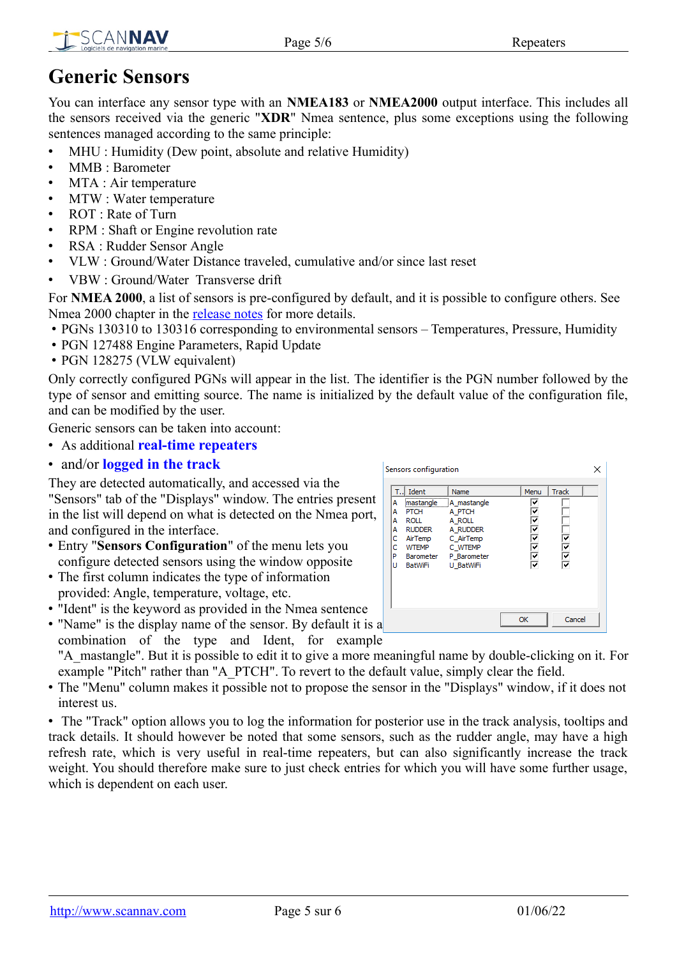

# <span id="page-4-0"></span>**Generic Sensors**

You can interface any sensor type with an **NMEA183** or **NMEA2000** output interface. This includes all the sensors received via the generic "**XDR**" Nmea sentence, plus some exceptions using the following sentences managed according to the same principle:

- MHU : Humidity (Dew point, absolute and relative Humidity)
- MMB : Barometer
- MTA : Air temperature
- MTW : Water temperature
- ROT : Rate of Turn
- RPM : Shaft or Engine revolution rate
- RSA : Rudder Sensor Angle
- VLW : Ground/Water Distance traveled, cumulative and/or since last reset
- VBW : Ground/Water Transverse drift

For **NMEA 2000**, a list of sensors is pre-configured by default, and it is possible to configure others. See Nmea 2000 chapter in the **release notes** for more details.

- PGNs 130310 to 130316 corresponding to environmental sensors Temperatures, Pressure, Humidity
- PGN 127488 Engine Parameters, Rapid Update
- PGN 128275 (VLW equivalent)

Only correctly configured PGNs will appear in the list. The identifier is the PGN number followed by the type of sensor and emitting source. The name is initialized by the default value of the configuration file, and can be modified by the user.

Generic sensors can be taken into account:

- As additional **real-time repeaters**
- and/or **logged in the track**

They are detected automatically, and accessed via the "Sensors" tab of the "Displays" window. The entries present in the list will depend on what is detected on the Nmea port, and configured in the interface.

- Entry "**Sensors Configuration**" of the menu lets you configure detected sensors using the window opposite
- The first column indicates the type of information provided: Angle, temperature, voltage, etc.
- "Ident" is the keyword as provided in the Nmea sentence

• "Name" is the display name of the sensor. By default it is a combination of the type and Ident, for example "A\_mastangle". But it is possible to edit it to give a more meaningful name by double-clicking on it. For

example "Pitch" rather than "A\_PTCH". To revert to the default value, simply clear the field. • The "Menu" column makes it possible not to propose the sensor in the "Displays" window, if it does not interest us.

• The "Track" option allows you to log the information for posterior use in the track analysis, tooltips and track details. It should however be noted that some sensors, such as the rudder angle, may have a high refresh rate, which is very useful in real-time repeaters, but can also significantly increase the track weight. You should therefore make sure to just check entries for which you will have some further usage, which is dependent on each user.

|                                       | Sensors configuration                                                     |                                                                                                                             |                          | x               |
|---------------------------------------|---------------------------------------------------------------------------|-----------------------------------------------------------------------------------------------------------------------------|--------------------------|-----------------|
| А<br>А<br>А<br>А<br>с<br>C.<br>P<br>U | T.J Ident<br>PTCH<br>roll<br><b>RUDDER</b><br>AirTemp<br>WTEMP<br>BatWiFi | Name<br>mastangle A mastangle<br>A PTCH<br>A ROLL<br>A RUDDER<br>C AirTemp<br>C WTEMP<br>Barometer P Barometer<br>U BatWiFi | Menu<br>⊽<br>⊽<br>⊽<br>⊽ | Track<br>रारारा |
|                                       |                                                                           |                                                                                                                             | OK                       | Cancel          |